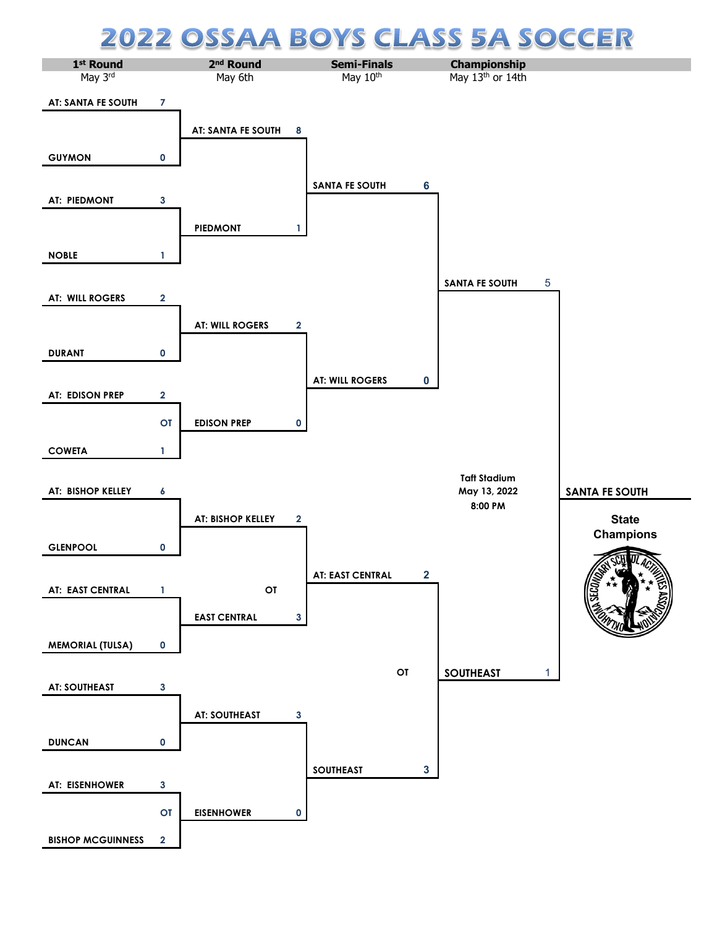## **CLASS 5A SOCCER 22 OSSA** A BOY S